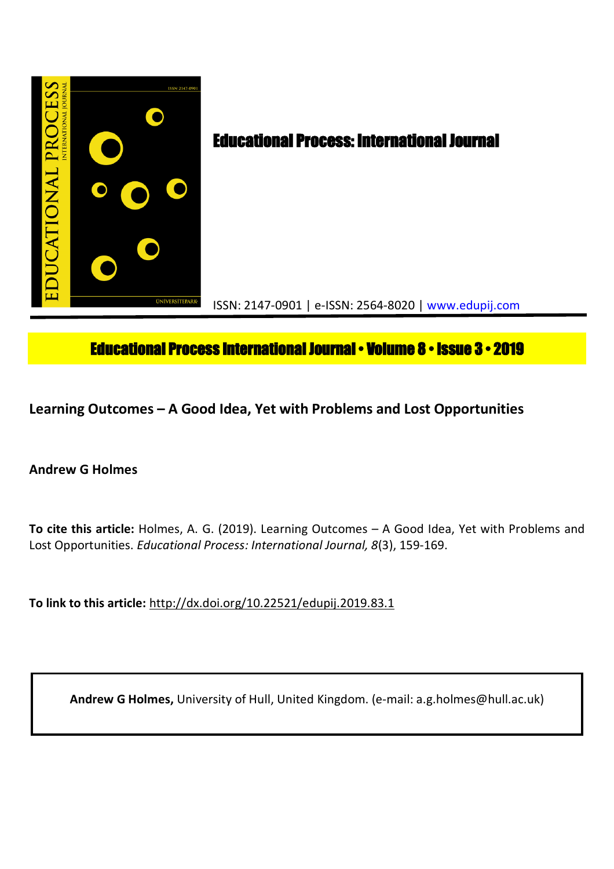

# **Educational Process International Journal • Volume 8 • Issue 3 • 2019**

**Learning Outcomes – A Good Idea, Yet with Problems and Lost Opportunities**

## **Andrew G Holmes**

**To cite this article:** Holmes, A. G. (2019). Learning Outcomes – A Good Idea, Yet with Problems and Lost Opportunities. *Educational Process: International Journal, 8*(3), 159-169.

**To link to this article:** http://dx.doi.org/10.22521/edupij.2019.83.1

**Andrew G Holmes,** University of Hull, United Kingdom. (e-mail: a.g.holmes@hull.ac.uk)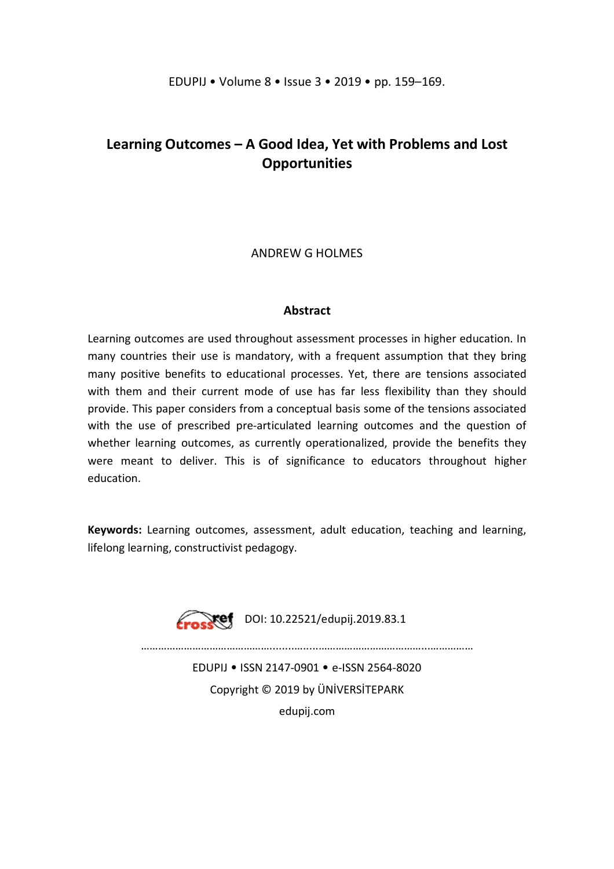# **Learning Outcomes – A Good Idea, Yet with Problems and Lost Opportunities**

### ANDREW G HOLMES

#### **Abstract**

Learning outcomes are used throughout assessment processes in higher education. In many countries their use is mandatory, with a frequent assumption that they bring many positive benefits to educational processes. Yet, there are tensions associated with them and their current mode of use has far less flexibility than they should provide. This paper considers from a conceptual basis some of the tensions associated with the use of prescribed pre-articulated learning outcomes and the question of whether learning outcomes, as currently operationalized, provide the benefits they were meant to deliver. This is of significance to educators throughout higher education.

**Keywords:** Learning outcomes, assessment, adult education, teaching and learning, lifelong learning, constructivist pedagogy.



……………………………………………………………………………………………

EDUPIJ • ISSN 2147-0901 • e-ISSN 2564-8020 Copyright © 2019 by ÜNİVERSİTEPARK edupij.com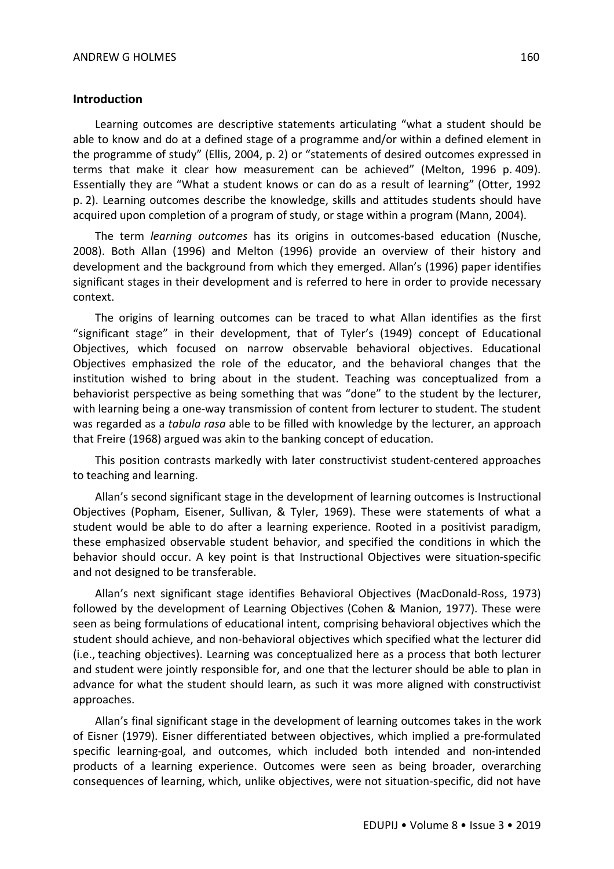#### **Introduction**

Learning outcomes are descriptive statements articulating "what a student should be able to know and do at a defined stage of a programme and/or within a defined element in the programme of study" (Ellis, 2004, p. 2) or "statements of desired outcomes expressed in terms that make it clear how measurement can be achieved" (Melton, 1996 p. 409). Essentially they are "What a student knows or can do as a result of learning" (Otter, 1992 p. 2). Learning outcomes describe the knowledge, skills and attitudes students should have acquired upon completion of a program of study, or stage within a program (Mann, 2004).

The term *learning outcomes* has its origins in outcomes-based education (Nusche, 2008). Both Allan (1996) and Melton (1996) provide an overview of their history and development and the background from which they emerged. Allan's (1996) paper identifies significant stages in their development and is referred to here in order to provide necessary context.

The origins of learning outcomes can be traced to what Allan identifies as the first "significant stage" in their development, that of Tyler's (1949) concept of Educational Objectives, which focused on narrow observable behavioral objectives. Educational Objectives emphasized the role of the educator, and the behavioral changes that the institution wished to bring about in the student. Teaching was conceptualized from a behaviorist perspective as being something that was "done" to the student by the lecturer, with learning being a one-way transmission of content from lecturer to student. The student was regarded as a *tabula rasa* able to be filled with knowledge by the lecturer, an approach that Freire (1968) argued was akin to the banking concept of education.

This position contrasts markedly with later constructivist student-centered approaches to teaching and learning.

Allan's second significant stage in the development of learning outcomes is Instructional Objectives (Popham, Eisener, Sullivan, & Tyler, 1969). These were statements of what a student would be able to do after a learning experience. Rooted in a positivist paradigm, these emphasized observable student behavior, and specified the conditions in which the behavior should occur. A key point is that Instructional Objectives were situation-specific and not designed to be transferable.

Allan's next significant stage identifies Behavioral Objectives (MacDonald-Ross, 1973) followed by the development of Learning Objectives (Cohen & Manion, 1977). These were seen as being formulations of educational intent, comprising behavioral objectives which the student should achieve, and non-behavioral objectives which specified what the lecturer did (i.e., teaching objectives). Learning was conceptualized here as a process that both lecturer and student were jointly responsible for, and one that the lecturer should be able to plan in advance for what the student should learn, as such it was more aligned with constructivist approaches.

Allan's final significant stage in the development of learning outcomes takes in the work of Eisner (1979). Eisner differentiated between objectives, which implied a pre-formulated specific learning-goal, and outcomes, which included both intended and non-intended products of a learning experience. Outcomes were seen as being broader, overarching consequences of learning, which, unlike objectives, were not situation-specific, did not have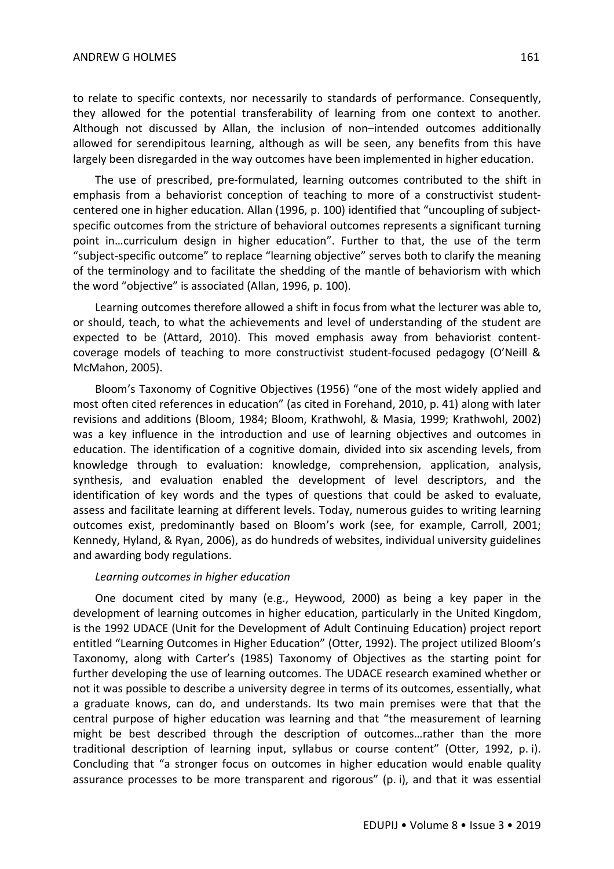to relate to specific contexts, nor necessarily to standards of performance. Consequently, they allowed for the potential transferability of learning from one context to another. Although not discussed by Allan, the inclusion of non–intended outcomes additionally allowed for serendipitous learning, although as will be seen, any benefits from this have largely been disregarded in the way outcomes have been implemented in higher education.

The use of prescribed, pre-formulated, learning outcomes contributed to the shift in emphasis from a behaviorist conception of teaching to more of a constructivist studentcentered one in higher education. Allan (1996, p. 100) identified that "uncoupling of subjectspecific outcomes from the stricture of behavioral outcomes represents a significant turning point in…curriculum design in higher education". Further to that, the use of the term "subject-specific outcome" to replace "learning objective" serves both to clarify the meaning of the terminology and to facilitate the shedding of the mantle of behaviorism with which the word "objective" is associated (Allan, 1996, p. 100).

Learning outcomes therefore allowed a shift in focus from what the lecturer was able to, or should, teach, to what the achievements and level of understanding of the student are expected to be (Attard, 2010). This moved emphasis away from behaviorist contentcoverage models of teaching to more constructivist student-focused pedagogy (O'Neill & McMahon, 2005).

Bloom's Taxonomy of Cognitive Objectives (1956) "one of the most widely applied and most often cited references in education" (as cited in Forehand, 2010, p. 41) along with later revisions and additions (Bloom, 1984; Bloom, Krathwohl, & Masia, 1999; Krathwohl, 2002) was a key influence in the introduction and use of learning objectives and outcomes in education. The identification of a cognitive domain, divided into six ascending levels, from knowledge through to evaluation: knowledge, comprehension, application, analysis, synthesis, and evaluation enabled the development of level descriptors, and the identification of key words and the types of questions that could be asked to evaluate, assess and facilitate learning at different levels. Today, numerous guides to writing learning outcomes exist, predominantly based on Bloom's work (see, for example, Carroll, 2001; Kennedy, Hyland, & Ryan, 2006), as do hundreds of websites, individual university guidelines and awarding body regulations.

#### *Learning outcomes in higher education*

One document cited by many (e.g., Heywood, 2000) as being a key paper in the development of learning outcomes in higher education, particularly in the United Kingdom, is the 1992 UDACE (Unit for the Development of Adult Continuing Education) project report entitled "Learning Outcomes in Higher Education" (Otter, 1992). The project utilized Bloom's Taxonomy, along with Carter's (1985) Taxonomy of Objectives as the starting point for further developing the use of learning outcomes. The UDACE research examined whether or not it was possible to describe a university degree in terms of its outcomes, essentially, what a graduate knows, can do, and understands. Its two main premises were that that the central purpose of higher education was learning and that "the measurement of learning might be best described through the description of outcomes…rather than the more traditional description of learning input, syllabus or course content" (Otter, 1992, p. i). Concluding that "a stronger focus on outcomes in higher education would enable quality assurance processes to be more transparent and rigorous" (p. i), and that it was essential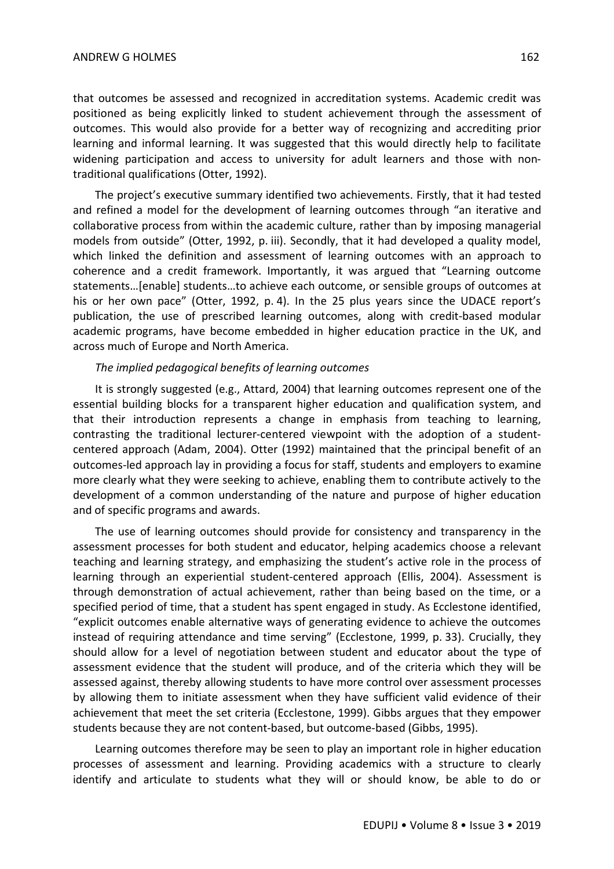that outcomes be assessed and recognized in accreditation systems. Academic credit was positioned as being explicitly linked to student achievement through the assessment of outcomes. This would also provide for a better way of recognizing and accrediting prior learning and informal learning. It was suggested that this would directly help to facilitate widening participation and access to university for adult learners and those with nontraditional qualifications (Otter, 1992).

The project's executive summary identified two achievements. Firstly, that it had tested and refined a model for the development of learning outcomes through "an iterative and collaborative process from within the academic culture, rather than by imposing managerial models from outside" (Otter, 1992, p. iii). Secondly, that it had developed a quality model, which linked the definition and assessment of learning outcomes with an approach to coherence and a credit framework. Importantly, it was argued that "Learning outcome statements…[enable] students…to achieve each outcome, or sensible groups of outcomes at his or her own pace" (Otter, 1992, p. 4). In the 25 plus years since the UDACE report's publication, the use of prescribed learning outcomes, along with credit-based modular academic programs, have become embedded in higher education practice in the UK, and across much of Europe and North America.

#### *The implied pedagogical benefits of learning outcomes*

It is strongly suggested (e.g., Attard, 2004) that learning outcomes represent one of the essential building blocks for a transparent higher education and qualification system, and that their introduction represents a change in emphasis from teaching to learning, contrasting the traditional lecturer-centered viewpoint with the adoption of a studentcentered approach (Adam, 2004). Otter (1992) maintained that the principal benefit of an outcomes-led approach lay in providing a focus for staff, students and employers to examine more clearly what they were seeking to achieve, enabling them to contribute actively to the development of a common understanding of the nature and purpose of higher education and of specific programs and awards.

The use of learning outcomes should provide for consistency and transparency in the assessment processes for both student and educator, helping academics choose a relevant teaching and learning strategy, and emphasizing the student's active role in the process of learning through an experiential student-centered approach (Ellis, 2004). Assessment is through demonstration of actual achievement, rather than being based on the time, or a specified period of time, that a student has spent engaged in study. As Ecclestone identified, "explicit outcomes enable alternative ways of generating evidence to achieve the outcomes instead of requiring attendance and time serving" (Ecclestone, 1999, p. 33). Crucially, they should allow for a level of negotiation between student and educator about the type of assessment evidence that the student will produce, and of the criteria which they will be assessed against, thereby allowing students to have more control over assessment processes by allowing them to initiate assessment when they have sufficient valid evidence of their achievement that meet the set criteria (Ecclestone, 1999). Gibbs argues that they empower students because they are not content-based, but outcome-based (Gibbs, 1995).

Learning outcomes therefore may be seen to play an important role in higher education processes of assessment and learning. Providing academics with a structure to clearly identify and articulate to students what they will or should know, be able to do or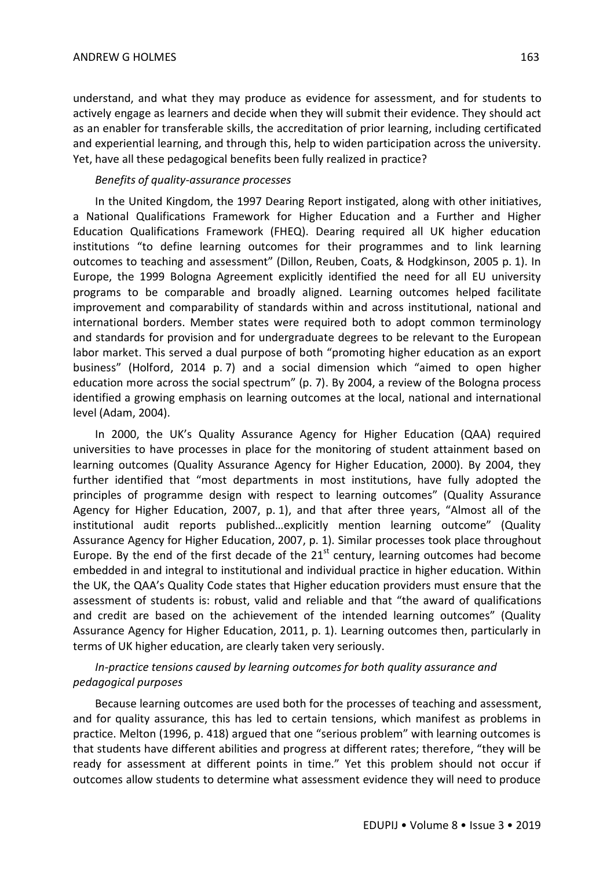understand, and what they may produce as evidence for assessment, and for students to actively engage as learners and decide when they will submit their evidence. They should act as an enabler for transferable skills, the accreditation of prior learning, including certificated and experiential learning, and through this, help to widen participation across the university. Yet, have all these pedagogical benefits been fully realized in practice?

#### *Benefits of quality-assurance processes*

In the United Kingdom, the 1997 Dearing Report instigated, along with other initiatives, a National Qualifications Framework for Higher Education and a Further and Higher Education Qualifications Framework (FHEQ). Dearing required all UK higher education institutions "to define learning outcomes for their programmes and to link learning outcomes to teaching and assessment" (Dillon, Reuben, Coats, & Hodgkinson, 2005 p. 1). In Europe, the 1999 Bologna Agreement explicitly identified the need for all EU university programs to be comparable and broadly aligned. Learning outcomes helped facilitate improvement and comparability of standards within and across institutional, national and international borders. Member states were required both to adopt common terminology and standards for provision and for undergraduate degrees to be relevant to the European labor market. This served a dual purpose of both "promoting higher education as an export business" (Holford, 2014 p. 7) and a social dimension which "aimed to open higher education more across the social spectrum" (p. 7). By 2004, a review of the Bologna process identified a growing emphasis on learning outcomes at the local, national and international level (Adam, 2004).

In 2000, the UK's Quality Assurance Agency for Higher Education (QAA) required universities to have processes in place for the monitoring of student attainment based on learning outcomes (Quality Assurance Agency for Higher Education, 2000). By 2004, they further identified that "most departments in most institutions, have fully adopted the principles of programme design with respect to learning outcomes" (Quality Assurance Agency for Higher Education, 2007, p. 1), and that after three years, "Almost all of the institutional audit reports published…explicitly mention learning outcome" (Quality Assurance Agency for Higher Education, 2007, p. 1). Similar processes took place throughout Europe. By the end of the first decade of the  $21<sup>st</sup>$  century, learning outcomes had become embedded in and integral to institutional and individual practice in higher education. Within the UK, the QAA's Quality Code states that Higher education providers must ensure that the assessment of students is: robust, valid and reliable and that "the award of qualifications and credit are based on the achievement of the intended learning outcomes" (Quality Assurance Agency for Higher Education, 2011, p. 1). Learning outcomes then, particularly in terms of UK higher education, are clearly taken very seriously.

### *In-practice tensions caused by learning outcomes for both quality assurance and pedagogical purposes*

Because learning outcomes are used both for the processes of teaching and assessment, and for quality assurance, this has led to certain tensions, which manifest as problems in practice. Melton (1996, p. 418) argued that one "serious problem" with learning outcomes is that students have different abilities and progress at different rates; therefore, "they will be ready for assessment at different points in time." Yet this problem should not occur if outcomes allow students to determine what assessment evidence they will need to produce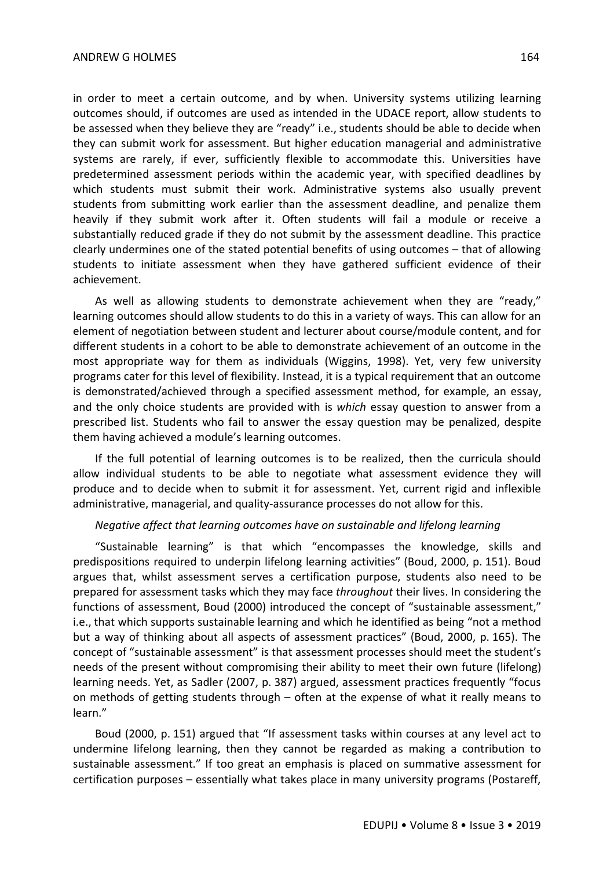in order to meet a certain outcome, and by when. University systems utilizing learning outcomes should, if outcomes are used as intended in the UDACE report, allow students to be assessed when they believe they are "ready" i.e., students should be able to decide when they can submit work for assessment. But higher education managerial and administrative systems are rarely, if ever, sufficiently flexible to accommodate this. Universities have predetermined assessment periods within the academic year, with specified deadlines by which students must submit their work. Administrative systems also usually prevent students from submitting work earlier than the assessment deadline, and penalize them heavily if they submit work after it. Often students will fail a module or receive a substantially reduced grade if they do not submit by the assessment deadline. This practice clearly undermines one of the stated potential benefits of using outcomes – that of allowing students to initiate assessment when they have gathered sufficient evidence of their achievement.

As well as allowing students to demonstrate achievement when they are "ready," learning outcomes should allow students to do this in a variety of ways. This can allow for an element of negotiation between student and lecturer about course/module content, and for different students in a cohort to be able to demonstrate achievement of an outcome in the most appropriate way for them as individuals (Wiggins, 1998). Yet, very few university programs cater for this level of flexibility. Instead, it is a typical requirement that an outcome is demonstrated/achieved through a specified assessment method, for example, an essay, and the only choice students are provided with is *which* essay question to answer from a prescribed list. Students who fail to answer the essay question may be penalized, despite them having achieved a module's learning outcomes.

If the full potential of learning outcomes is to be realized, then the curricula should allow individual students to be able to negotiate what assessment evidence they will produce and to decide when to submit it for assessment. Yet, current rigid and inflexible administrative, managerial, and quality-assurance processes do not allow for this.

#### *Negative affect that learning outcomes have on sustainable and lifelong learning*

"Sustainable learning" is that which "encompasses the knowledge, skills and predispositions required to underpin lifelong learning activities" (Boud, 2000, p. 151). Boud argues that, whilst assessment serves a certification purpose, students also need to be prepared for assessment tasks which they may face *throughout* their lives. In considering the functions of assessment, Boud (2000) introduced the concept of "sustainable assessment," i.e., that which supports sustainable learning and which he identified as being "not a method but a way of thinking about all aspects of assessment practices" (Boud, 2000, p. 165). The concept of "sustainable assessment" is that assessment processes should meet the student's needs of the present without compromising their ability to meet their own future (lifelong) learning needs. Yet, as Sadler (2007, p. 387) argued, assessment practices frequently "focus on methods of getting students through – often at the expense of what it really means to learn."

Boud (2000, p. 151) argued that "If assessment tasks within courses at any level act to undermine lifelong learning, then they cannot be regarded as making a contribution to sustainable assessment." If too great an emphasis is placed on summative assessment for certification purposes – essentially what takes place in many university programs (Postareff,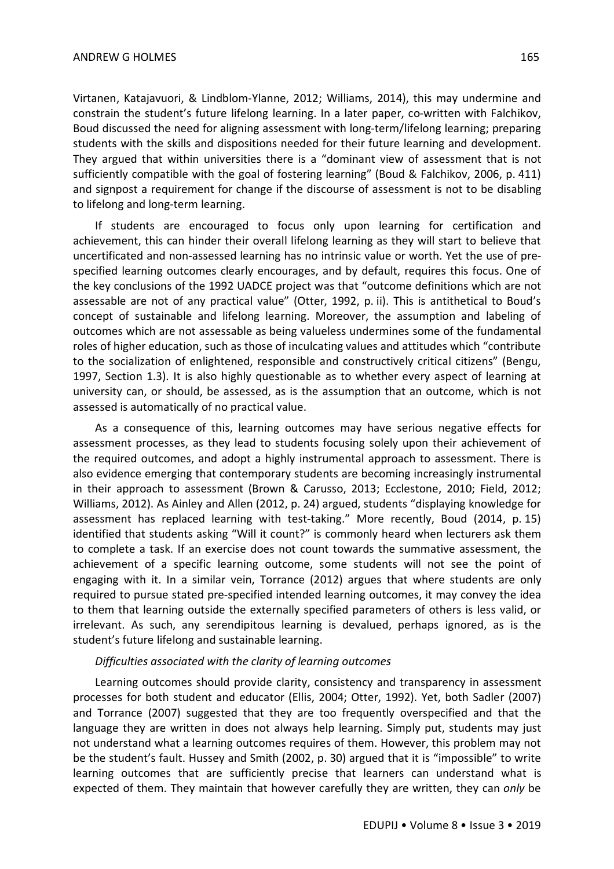Virtanen, Katajavuori, & Lindblom-Ylanne, 2012; Williams, 2014), this may undermine and constrain the student's future lifelong learning. In a later paper, co-written with Falchikov, Boud discussed the need for aligning assessment with long-term/lifelong learning; preparing students with the skills and dispositions needed for their future learning and development. They argued that within universities there is a "dominant view of assessment that is not sufficiently compatible with the goal of fostering learning" (Boud & Falchikov, 2006, p. 411) and signpost a requirement for change if the discourse of assessment is not to be disabling to lifelong and long-term learning.

If students are encouraged to focus only upon learning for certification and achievement, this can hinder their overall lifelong learning as they will start to believe that uncertificated and non-assessed learning has no intrinsic value or worth. Yet the use of prespecified learning outcomes clearly encourages, and by default, requires this focus. One of the key conclusions of the 1992 UADCE project was that "outcome definitions which are not assessable are not of any practical value" (Otter, 1992, p. ii). This is antithetical to Boud's concept of sustainable and lifelong learning. Moreover, the assumption and labeling of outcomes which are not assessable as being valueless undermines some of the fundamental roles of higher education, such as those of inculcating values and attitudes which "contribute to the socialization of enlightened, responsible and constructively critical citizens" (Bengu, 1997, Section 1.3). It is also highly questionable as to whether every aspect of learning at university can, or should, be assessed, as is the assumption that an outcome, which is not assessed is automatically of no practical value.

As a consequence of this, learning outcomes may have serious negative effects for assessment processes, as they lead to students focusing solely upon their achievement of the required outcomes, and adopt a highly instrumental approach to assessment. There is also evidence emerging that contemporary students are becoming increasingly instrumental in their approach to assessment (Brown & Carusso, 2013; Ecclestone, 2010; Field, 2012; Williams, 2012). As Ainley and Allen (2012, p. 24) argued, students "displaying knowledge for assessment has replaced learning with test-taking." More recently, Boud (2014, p. 15) identified that students asking "Will it count?" is commonly heard when lecturers ask them to complete a task. If an exercise does not count towards the summative assessment, the achievement of a specific learning outcome, some students will not see the point of engaging with it. In a similar vein, Torrance (2012) argues that where students are only required to pursue stated pre-specified intended learning outcomes, it may convey the idea to them that learning outside the externally specified parameters of others is less valid, or irrelevant. As such, any serendipitous learning is devalued, perhaps ignored, as is the student's future lifelong and sustainable learning.

#### *Difficulties associated with the clarity of learning outcomes*

Learning outcomes should provide clarity, consistency and transparency in assessment processes for both student and educator (Ellis, 2004; Otter, 1992). Yet, both Sadler (2007) and Torrance (2007) suggested that they are too frequently overspecified and that the language they are written in does not always help learning. Simply put, students may just not understand what a learning outcomes requires of them. However, this problem may not be the student's fault. Hussey and Smith (2002, p. 30) argued that it is "impossible" to write learning outcomes that are sufficiently precise that learners can understand what is expected of them. They maintain that however carefully they are written, they can *only* be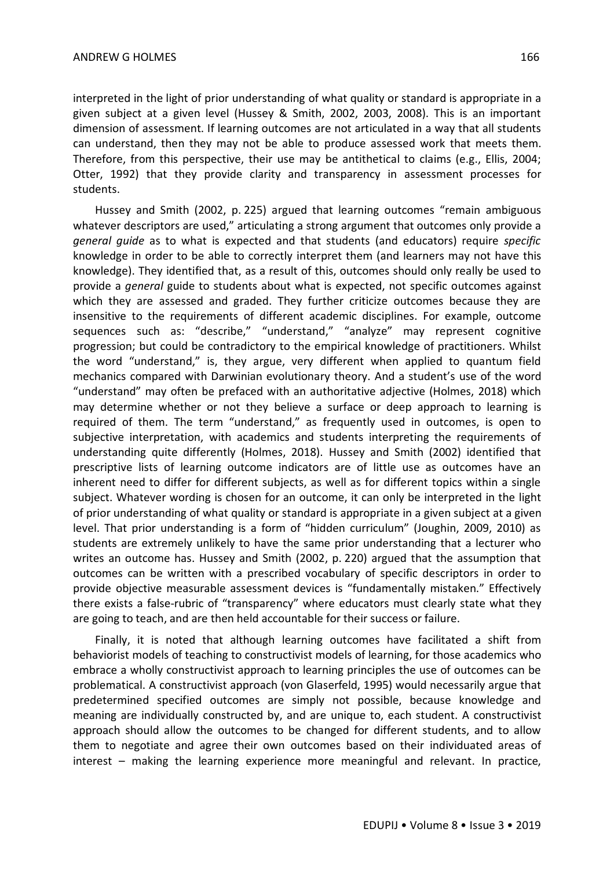interpreted in the light of prior understanding of what quality or standard is appropriate in a given subject at a given level (Hussey & Smith, 2002, 2003, 2008). This is an important dimension of assessment. If learning outcomes are not articulated in a way that all students can understand, then they may not be able to produce assessed work that meets them. Therefore, from this perspective, their use may be antithetical to claims (e.g., Ellis, 2004; Otter, 1992) that they provide clarity and transparency in assessment processes for students.

Hussey and Smith (2002, p. 225) argued that learning outcomes "remain ambiguous whatever descriptors are used," articulating a strong argument that outcomes only provide a *general guide* as to what is expected and that students (and educators) require *specific* knowledge in order to be able to correctly interpret them (and learners may not have this knowledge). They identified that, as a result of this, outcomes should only really be used to provide a *general* guide to students about what is expected, not specific outcomes against which they are assessed and graded. They further criticize outcomes because they are insensitive to the requirements of different academic disciplines. For example, outcome sequences such as: "describe," "understand," "analyze" may represent cognitive progression; but could be contradictory to the empirical knowledge of practitioners. Whilst the word "understand," is, they argue, very different when applied to quantum field mechanics compared with Darwinian evolutionary theory. And a student's use of the word "understand" may often be prefaced with an authoritative adjective (Holmes, 2018) which may determine whether or not they believe a surface or deep approach to learning is required of them. The term "understand," as frequently used in outcomes, is open to subjective interpretation, with academics and students interpreting the requirements of understanding quite differently (Holmes, 2018). Hussey and Smith (2002) identified that prescriptive lists of learning outcome indicators are of little use as outcomes have an inherent need to differ for different subjects, as well as for different topics within a single subject. Whatever wording is chosen for an outcome, it can only be interpreted in the light of prior understanding of what quality or standard is appropriate in a given subject at a given level. That prior understanding is a form of "hidden curriculum" (Joughin, 2009, 2010) as students are extremely unlikely to have the same prior understanding that a lecturer who writes an outcome has. Hussey and Smith (2002, p. 220) argued that the assumption that outcomes can be written with a prescribed vocabulary of specific descriptors in order to provide objective measurable assessment devices is "fundamentally mistaken." Effectively there exists a false-rubric of "transparency" where educators must clearly state what they are going to teach, and are then held accountable for their success or failure.

Finally, it is noted that although learning outcomes have facilitated a shift from behaviorist models of teaching to constructivist models of learning, for those academics who embrace a wholly constructivist approach to learning principles the use of outcomes can be problematical. A constructivist approach (von Glaserfeld, 1995) would necessarily argue that predetermined specified outcomes are simply not possible, because knowledge and meaning are individually constructed by, and are unique to, each student. A constructivist approach should allow the outcomes to be changed for different students, and to allow them to negotiate and agree their own outcomes based on their individuated areas of interest – making the learning experience more meaningful and relevant. In practice,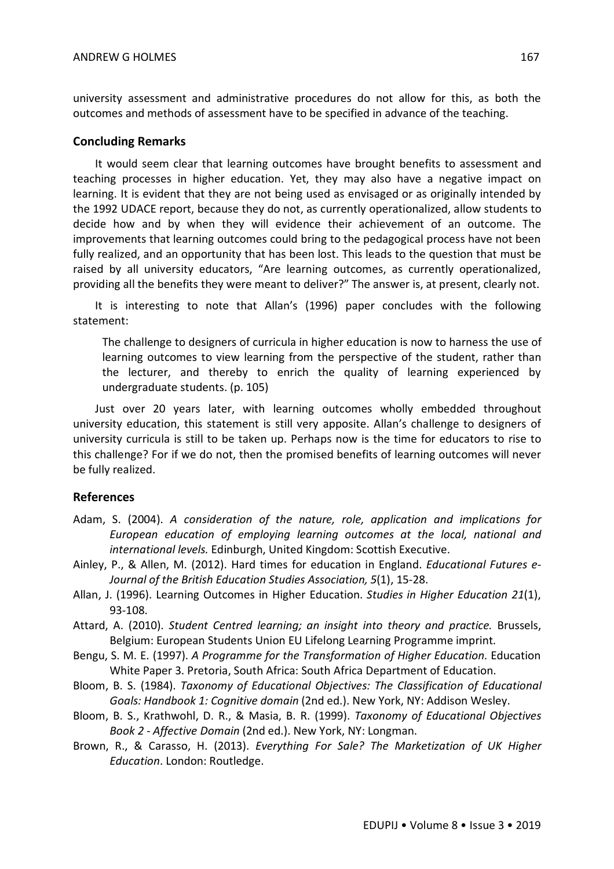university assessment and administrative procedures do not allow for this, as both the outcomes and methods of assessment have to be specified in advance of the teaching.

#### **Concluding Remarks**

It would seem clear that learning outcomes have brought benefits to assessment and teaching processes in higher education. Yet, they may also have a negative impact on learning. It is evident that they are not being used as envisaged or as originally intended by the 1992 UDACE report, because they do not, as currently operationalized, allow students to decide how and by when they will evidence their achievement of an outcome. The improvements that learning outcomes could bring to the pedagogical process have not been fully realized, and an opportunity that has been lost. This leads to the question that must be raised by all university educators, "Are learning outcomes, as currently operationalized, providing all the benefits they were meant to deliver?" The answer is, at present, clearly not.

It is interesting to note that Allan's (1996) paper concludes with the following statement:

The challenge to designers of curricula in higher education is now to harness the use of learning outcomes to view learning from the perspective of the student, rather than the lecturer, and thereby to enrich the quality of learning experienced by undergraduate students. (p. 105)

Just over 20 years later, with learning outcomes wholly embedded throughout university education, this statement is still very apposite. Allan's challenge to designers of university curricula is still to be taken up. Perhaps now is the time for educators to rise to this challenge? For if we do not, then the promised benefits of learning outcomes will never be fully realized.

#### **References**

- Adam, S. (2004). *A consideration of the nature, role, application and implications for European education of employing learning outcomes at the local, national and international levels.* Edinburgh, United Kingdom: Scottish Executive.
- Ainley, P., & Allen, M. (2012). Hard times for education in England. *Educational Futures e-Journal of the British Education Studies Association, 5*(1), 15-28.
- Allan, J. (1996). Learning Outcomes in Higher Education. *Studies in Higher Education 21*(1), 93-108.
- Attard, A. (2010). *Student Centred learning; an insight into theory and practice.* Brussels, Belgium: European Students Union EU Lifelong Learning Programme imprint.
- Bengu, S. M. E. (1997). *A Programme for the Transformation of Higher Education.* Education White Paper 3. Pretoria, South Africa: South Africa Department of Education.
- Bloom, B. S. (1984). *Taxonomy of Educational Objectives: The Classification of Educational Goals: Handbook 1: Cognitive domain* (2nd ed.). New York, NY: Addison Wesley.
- Bloom, B. S., Krathwohl, D. R., & Masia, B. R. (1999). *Taxonomy of Educational Objectives Book 2 - Affective Domain* (2nd ed.). New York, NY: Longman.
- Brown, R., & Carasso, H. (2013). *Everything For Sale? The Marketization of UK Higher Education*. London: Routledge.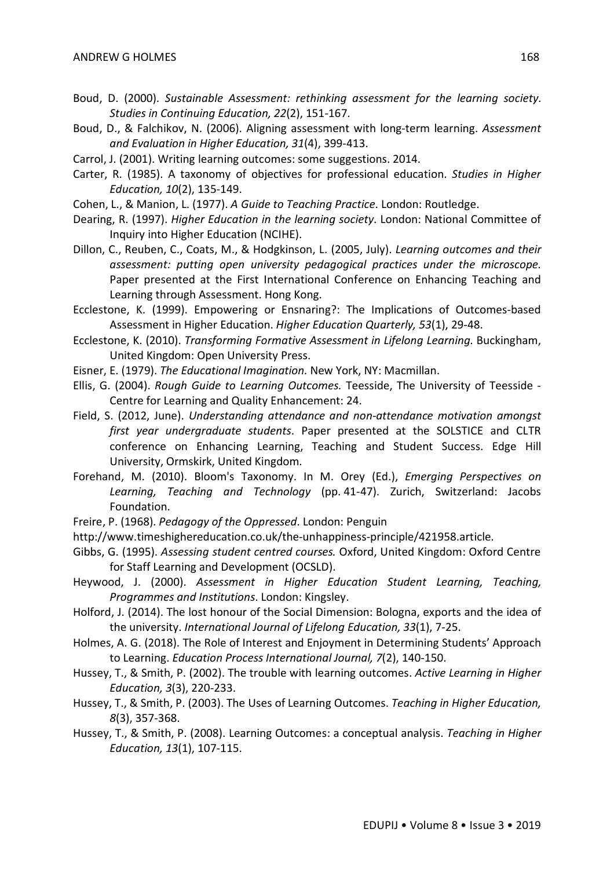- Boud, D. (2000). *Sustainable Assessment: rethinking assessment for the learning society*. *Studies in Continuing Education, 22*(2), 151-167.
- Boud, D., & Falchikov, N. (2006). Aligning assessment with long-term learning. *Assessment and Evaluation in Higher Education, 31*(4), 399-413.
- Carrol, J. (2001). Writing learning outcomes: some suggestions. 2014.
- Carter, R. (1985). A taxonomy of objectives for professional education. *Studies in Higher Education, 10*(2), 135-149.
- Cohen, L., & Manion, L. (1977). *A Guide to Teaching Practice*. London: Routledge.
- Dearing, R. (1997). *Higher Education in the learning society*. London: National Committee of Inquiry into Higher Education (NCIHE).
- Dillon, C., Reuben, C., Coats, M., & Hodgkinson, L. (2005, July). *Learning outcomes and their assessment: putting open university pedagogical practices under the microscope.* Paper presented at the First International Conference on Enhancing Teaching and Learning through Assessment. Hong Kong.
- Ecclestone, K. (1999). Empowering or Ensnaring?: The Implications of Outcomes-based Assessment in Higher Education. *Higher Education Quarterly, 53*(1), 29-48.
- Ecclestone, K. (2010). *Transforming Formative Assessment in Lifelong Learning*. Buckingham, United Kingdom: Open University Press.
- Eisner, E. (1979). *The Educational Imagination.* New York, NY: Macmillan.
- Ellis, G. (2004). *Rough Guide to Learning Outcomes.* Teesside, The University of Teesside Centre for Learning and Quality Enhancement: 24.
- Field, S. (2012, June). *Understanding attendance and non-attendance motivation amongst first year undergraduate students*. Paper presented at the SOLSTICE and CLTR conference on Enhancing Learning, Teaching and Student Success. Edge Hill University, Ormskirk, United Kingdom.
- Forehand, M. (2010). Bloom's Taxonomy. In M. Orey (Ed.), *Emerging Perspectives on Learning, Teaching and Technology* (pp. 41-47). Zurich, Switzerland: Jacobs Foundation.
- Freire, P. (1968). *Pedagogy of the Oppressed*. London: Penguin
- http://www.timeshighereducation.co.uk/the-unhappiness-principle/421958.article.
- Gibbs, G. (1995). *Assessing student centred courses.* Oxford, United Kingdom: Oxford Centre for Staff Learning and Development (OCSLD).
- Heywood, J. (2000). *Assessment in Higher Education Student Learning, Teaching, Programmes and Institutions*. London: Kingsley.
- Holford, J. (2014). The lost honour of the Social Dimension: Bologna, exports and the idea of the university. *International Journal of Lifelong Education, 33*(1), 7-25.
- Holmes, A. G. (2018). The Role of Interest and Enjoyment in Determining Students' Approach to Learning. *Education Process International Journal, 7*(2), 140-150.
- Hussey, T., & Smith, P. (2002). The trouble with learning outcomes. *Active Learning in Higher Education, 3*(3), 220-233.
- Hussey, T., & Smith, P. (2003). The Uses of Learning Outcomes. *Teaching in Higher Education, 8*(3), 357-368.
- Hussey, T., & Smith, P. (2008). Learning Outcomes: a conceptual analysis. *Teaching in Higher Education, 13*(1), 107-115.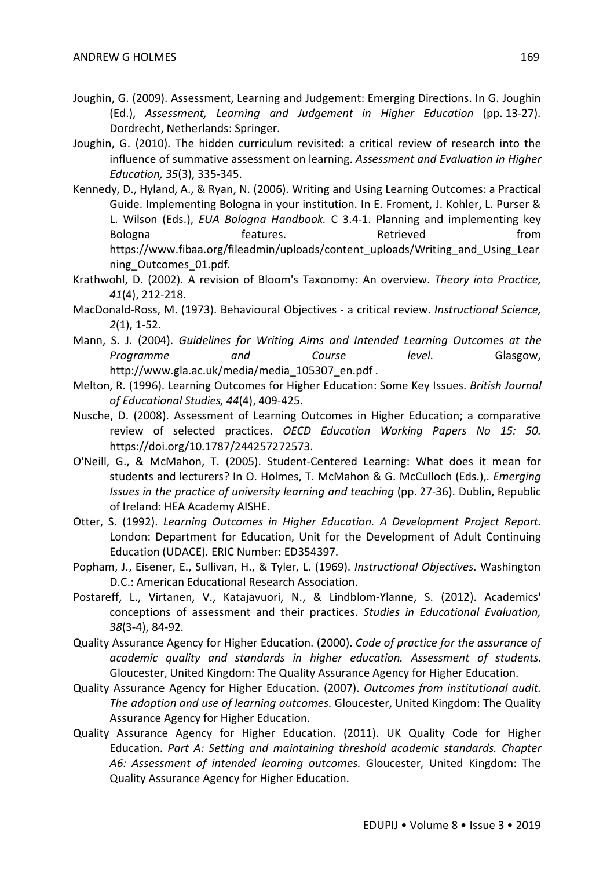- Joughin, G. (2009). Assessment, Learning and Judgement: Emerging Directions. In G. Joughin (Ed.), *Assessment, Learning and Judgement in Higher Education* (pp. 13-27). Dordrecht, Netherlands: Springer.
- Joughin, G. (2010). The hidden curriculum revisited: a critical review of research into the influence of summative assessment on learning. *Assessment and Evaluation in Higher Education, 35*(3), 335-345.
- Kennedy, D., Hyland, A., & Ryan, N. (2006). Writing and Using Learning Outcomes: a Practical Guide. Implementing Bologna in your institution. In E. Froment, J. Kohler, L. Purser & L. Wilson (Eds.), *EUA Bologna Handbook.* C 3.4-1. Planning and implementing key Bologna **come features.** Retrieved **from** https://www.fibaa.org/fileadmin/uploads/content\_uploads/Writing\_and\_Using\_Lear ning\_Outcomes\_01.pdf.
- Krathwohl, D. (2002). A revision of Bloom's Taxonomy: An overview. *Theory into Practice, 41*(4), 212-218.
- MacDonald-Ross, M. (1973). Behavioural Objectives a critical review. *Instructional Science, 2*(1), 1-52.
- Mann, S. J. (2004). *Guidelines for Writing Aims and Intended Learning Outcomes at the Programme and Course level*. Glasgow, http://www.gla.ac.uk/media/media\_105307\_en.pdf .
- Melton, R. (1996). Learning Outcomes for Higher Education: Some Key Issues. *British Journal of Educational Studies, 44*(4), 409-425.
- Nusche, D. (2008). Assessment of Learning Outcomes in Higher Education; a comparative review of selected practices. *OECD Education Working Papers No 15: 50.* https://doi.org/10.1787/244257272573.
- O'Neill, G., & McMahon, T. (2005). Student-Centered Learning: What does it mean for students and lecturers? In O. Holmes, T. McMahon & G. McCulloch (Eds.),. *Emerging Issues in the practice of university learning and teaching* (pp. 27-36). Dublin, Republic of Ireland: HEA Academy AISHE.
- Otter, S. (1992). *Learning Outcomes in Higher Education. A Development Project Report.* London: Department for Education, Unit for the Development of Adult Continuing Education (UDACE). ERIC Number: ED354397.
- Popham, J., Eisener, E., Sullivan, H., & Tyler, L. (1969). *Instructional Objectives*. Washington D.C.: American Educational Research Association.
- Postareff, L., Virtanen, V., Katajavuori, N., & Lindblom-Ylanne, S. (2012). Academics' conceptions of assessment and their practices. *Studies in Educational Evaluation, 38*(3-4), 84-92.
- Quality Assurance Agency for Higher Education. (2000). *Code of practice for the assurance of academic quality and standards in higher education. Assessment of students*. Gloucester, United Kingdom: The Quality Assurance Agency for Higher Education.
- Quality Assurance Agency for Higher Education. (2007). *Outcomes from institutional audit. The adoption and use of learning outcomes*. Gloucester, United Kingdom: The Quality Assurance Agency for Higher Education.
- Quality Assurance Agency for Higher Education. (2011). UK Quality Code for Higher Education. *Part A: Setting and maintaining threshold academic standards. Chapter A6: Assessment of intended learning outcomes.* Gloucester, United Kingdom: The Quality Assurance Agency for Higher Education.